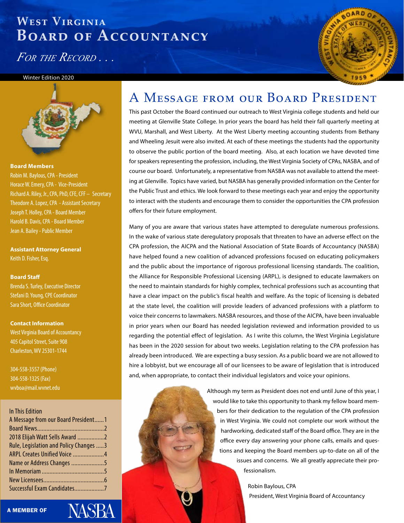*For the Record . . .*

#### Winter Edition 2020



#### **Board Members**

Robin M. Baylous, CPA - President Horace W. Emery, CPA - Vice-President Richard A. Riley, Jr., CPA, PhD, CFE, CFF – Secretary Theodore A. Lopez, CPA - Assistant Secretary Joseph T. Holley, CPA - Board Member Harold B. Davis, CPA - Board Member Jean A. Bailey - Public Member

**Assistant Attorney General** Keith D. Fisher, Esq.

#### **Board Staff**

Brenda S. Turley, Executive Director Stefani D. Young, CPE Coordinator Sara Short, Office Coordinator

#### **Contact Information**

West Virginia Board of Accountancy 405 Capitol Street, Suite 908 Charleston, WV 25301-1744

304-558-3557 (Phone) 304-558-1325 (Fax) wvboa@mail.wvnet.edu

#### In This Edition

| A Message from our Board President1     |  |
|-----------------------------------------|--|
|                                         |  |
| 2018 Elijah Watt Sells Award 2          |  |
| Rule, Legislation and Policy Changes  3 |  |
| ARPL Creates Unified Voice  4           |  |
| Name or Address Changes 5               |  |
|                                         |  |
|                                         |  |
| Successful Exam Candidates7             |  |

ASBA

# A Message from our Board President

**POTATION** 

This past October the Board continued our outreach to West Virginia college students and held our meeting at Glenville State College. In prior years the board has held their fall quarterly meeting at WVU, Marshall, and West Liberty. At the West Liberty meeting accounting students from Bethany and Wheeling Jesuit were also invited. At each of these meetings the students had the opportunity to observe the public portion of the board meeting. Also, at each location we have devoted time for speakers representing the profession, including, the West Virginia Society of CPAs, NASBA, and of course our board. Unfortunately, a representative from NASBA was not available to attend the meeting at Glenville. Topics have varied, but NASBA has generally provided information on the Center for the Public Trust and ethics. We look forward to these meetings each year and enjoy the opportunity to interact with the students and encourage them to consider the opportunities the CPA profession offers for their future employment.

Many of you are aware that various states have attempted to deregulate numerous professions. In the wake of various state deregulatory proposals that threaten to have an adverse effect on the CPA profession, the AICPA and the National Association of State Boards of Accountancy (NASBA) have helped found a new coalition of advanced professions focused on educating policymakers and the public about the importance of rigorous professional licensing standards. The coalition, the Alliance for Responsible Professional Licensing (ARPL), is designed to educate lawmakers on the need to maintain standards for highly complex, technical professions such as accounting that have a clear impact on the public's fiscal health and welfare. As the topic of licensing is debated at the state level, the coalition will provide leaders of advanced professions with a platform to voice their concerns to lawmakers. NASBA resources, and those of the AICPA, have been invaluable in prior years when our Board has needed legislation reviewed and information provided to us regarding the potential effect of legislation. As I write this column, the West Virginia Legislature has been in the 2020 session for about two weeks. Legislation relating to the CPA profession has already been introduced. We are expecting a busy session. As a public board we are not allowed to hire a lobbyist, but we encourage all of our licensees to be aware of legislation that is introduced and, when appropriate, to contact their individual legislators and voice your opinions.

> **West Virginia Board of Accountancy Page 1**

Although my term as President does not end until June of this year, I would like to take this opportunity to thank my fellow board members for their dedication to the regulation of the CPA profession in West Virginia. We could not complete our work without the hardworking, dedicated staff of the Board office. They are in the office every day answering your phone calls, emails and questions and keeping the Board members up-to-date on all of the issues and concerns. We all greatly appreciate their professionalism.

> Robin Baylous, CPA President, West Virginia Board of Accountancy

A MEMBER OF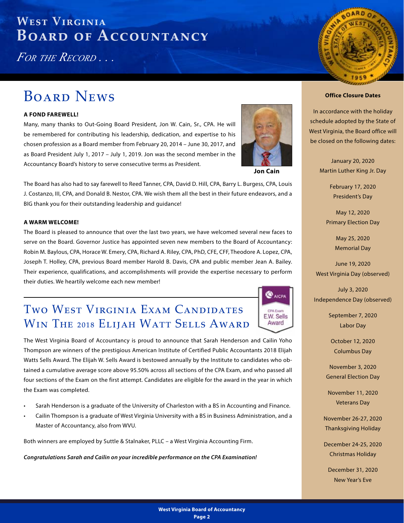<span id="page-1-0"></span>*For the Record . . .*

# **BOARD NEWS Office Closure Dates**

#### **A FOND FAREWELL!**

Many, many thanks to Out-Going Board President, Jon W. Cain, Sr., CPA. He will be remembered for contributing his leadership, dedication, and expertise to his chosen profession as a Board member from February 20, 2014 – June 30, 2017, and as Board President July 1, 2017 – July 1, 2019. Jon was the second member in the Accountancy Board's history to serve consecutive terms as President.



**Jon Cain**

The Board has also had to say farewell to Reed Tanner, CPA, David D. Hill, CPA, Barry L. Burgess, CPA, Louis J. Costanzo, III, CPA, and Donald B. Nestor, CPA. We wish them all the best in their future endeavors, and a BIG thank you for their outstanding leadership and guidance!

#### **A WARM WELCOME!**

The Board is pleased to announce that over the last two years, we have welcomed several new faces to serve on the Board. Governor Justice has appointed seven new members to the Board of Accountancy: Robin M. Baylous, CPA, Horace W. Emery, CPA, Richard A. Riley, CPA, PhD, CFE, CFF, Theodore A. Lopez, CPA, Joseph T. Holley, CPA, previous Board member Harold B. Davis, CPA and public member Jean A. Bailey. Their experience, qualifications, and accomplishments will provide the expertise necessary to perform their duties. We heartily welcome each new member!

# Two West Virginia Exam Candidates WIN THE 2018 ELIJAH WATT SELLS AWARD



The West Virginia Board of Accountancy is proud to announce that Sarah Henderson and Cailin Yoho Thompson are winners of the prestigious American Institute of Certified Public Accountants 2018 Elijah Watts Sells Award. The Elijah W. Sells Award is bestowed annually by the Institute to candidates who obtained a cumulative average score above 95.50% across all sections of the CPA Exam, and who passed all four sections of the Exam on the first attempt. Candidates are eligible for the award in the year in which the Exam was completed.

- Sarah Henderson is a graduate of the University of Charleston with a BS in Accounting and Finance.
- Cailin Thompson is a graduate of West Virginia University with a BS in Business Administration, and a Master of Accountancy, also from WVU.

Both winners are employed by Suttle & Stalnaker, PLLC – a West Virginia Accounting Firm.

*Congratulations Sarah and Cailin on your incredible performance on the CPA Examination!*

**HOTAGE** 

In accordance with the holiday schedule adopted by the State of West Virginia, the Board office will be closed on the following dates:

> January 20, 2020 Martin Luther King Jr. Day

> > February 17, 2020 President's Day

May 12, 2020 Primary Election Day

> May 25, 2020 Memorial Day

June 19, 2020 West Virginia Day (observed)

July 3, 2020 Independence Day (observed)

> September 7, 2020 Labor Day

October 12, 2020 Columbus Day

November 3, 2020 General Election Day

November 11, 2020 Veterans Day

November 26-27, 2020 Thanksgiving Holiday

December 24-25, 2020 Christmas Holiday

December 31, 2020 New Year's Eve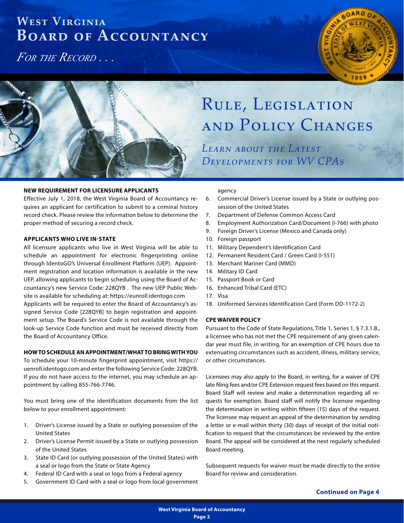<span id="page-2-0"></span>*For the Record . . .*



# Rule, Legislation and Policy Changes

*Learn about the Latest Developments for WV CPAs*

#### **NEW REQUIREMENT FOR LICENSURE APPLICANTS**

Effective July 1, 2018, the West Virginia Board of Accountancy requires an applicant for certification to submit to a criminal history record check. Please review the information below to determine the proper method of securing a record check.

#### **APPLICANTS WHO LIVE IN-STATE**

All licensure applicants who live in West Virginia will be able to schedule an appointment for electronic fingerprinting online through IdentoGO's Universal Enrollment Platform (UEP). Appointment registration and location information is available in the new UEP, allowing applicants to begin scheduling using the Board of Accountancy's new Service Code: 228QYB . The new UEP Public Website is available for scheduling at: https://eunroll.identogo.com Applicants will be required to enter the Board of Accountancy's assigned Service Code [228QYB] to begin registration and appointment setup. The Board's Service Code is not available through the look-up Service Code function and must be received directly from the Board of Accountancy Office.

#### **HOW TO SCHEDULE AN APPOINTMENT/WHAT TO BRING WITH YOU**

To schedule your 10-minute fingerprint appointment, visit https:// uenroll.identogo.com and enter the following Service Code: 228QYB. If you do not have access to the internet, you may schedule an appointment by calling 855-766-7746.

You must bring one of the identification documents from the list below to your enrollment appointment:

- 1. Driver's License issued by a State or outlying possession of the United States
- 2. Driver's License Permit issued by a State or outlying possession of the United States
- 3. State ID Card (or outlying possession of the United States) with a seal or logo from the State or State Agency
- 4. Federal ID Card with a seal or logo from a Federal agency
- 5. Government ID Card with a seal or logo from local government

#### agency

- 6. Commercial Driver's License issued by a State or outlying possession of the United States
- 7. Department of Defense Common Access Card
- 8. Employment Authorization Card/Document (I-766) with photo
- 9. Foreign Driver's License (Mexico and Canada only)
- 10. Foreign passport
- 11. Military Dependent's Identification Card
- 12. Permanent Resident Card / Green Card (I-551)
- 13. Merchant Mariner Card (MMD)
- 14. Military ID Card
- 15. Passport Book or Card
- 16. Enhanced Tribal Card (ETC)
- 17. Visa
- 18. Uniformed Services Identification Card (Form DD-1172-2)

#### **CPE WAIVER POLICY**

Pursuant to the Code of State Regulations, Title 1, Series 1, § 7.3.1.B., a licensee who has not met the CPE requirement of any given calendar year must file, in writing, for an exemption of CPE hours due to extenuating circumstances such as accident, illness, military service, or other circumstances.

Licensees may also apply to the Board, in writing, for a waiver of CPE late filing fees and/or CPE Extension request fees based on this request. Board Staff will review and make a determination regarding all requests for exemption. Board staff will notify the licensee regarding the determination in writing within fifteen (15) days of the request. The licensee may request an appeal of the determination by sending a letter or e-mail within thirty (30) days of receipt of the initial notification to request that the circumstances be reviewed by the entire Board. The appeal will be considered at the next regularly scheduled Board meeting.

Subsequent requests for waiver must be made directly to the entire Board for review and consideration.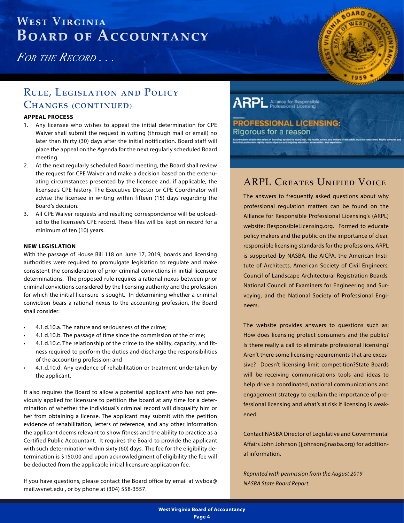<span id="page-3-0"></span>*For the Record . . .*

### Rule, Legislation and Policy CHANGES (CONTINUED)

#### **APPEAL PROCESS**

- 1. Any licensee who wishes to appeal the initial determination for CPE Waiver shall submit the request in writing (through mail or email) no later than thirty (30) days after the initial notification. Board staff will place the appeal on the Agenda for the next regularly scheduled Board meeting.
- 2. At the next regularly scheduled Board meeting, the Board shall review the request for CPE Waiver and make a decision based on the extenuating circumstances presented by the licensee and, if applicable, the licensee's CPE history. The Executive Director or CPE Coordinator will advise the licensee in writing within fifteen (15) days regarding the Board's decision.
- 3. All CPE Waiver requests and resulting correspondence will be uploaded to the licensee's CPE record. These files will be kept on record for a minimum of ten (10) years.

#### **NEW LEGISLATION**

With the passage of House Bill 118 on June 17, 2019, boards and licensing authorities were required to promulgate legislation to regulate and make consistent the consideration of prior criminal convictions in initial licensure determinations. The proposed rule requires a rational nexus between prior criminal convictions considered by the licensing authority and the profession for which the initial licensure is sought. In determining whether a criminal conviction bears a rational nexus to the accounting profession, the Board shall consider:

- 4.1.d.10.a. The nature and seriousness of the crime;
- 4.1.d.10.b. The passage of time since the commission of the crime;
- 4.1.d.10.c. The relationship of the crime to the ability, capacity, and fitness required to perform the duties and discharge the responsibilities of the accounting profession; and
- 4.1.d.10.d. Any evidence of rehabilitation or treatment undertaken by the applicant.

It also requires the Board to allow a potential applicant who has not previously applied for licensure to petition the board at any time for a determination of whether the individual's criminal record will disqualify him or her from obtaining a license. The applicant may submit with the petition evidence of rehabilitation, letters of reference, and any other information the applicant deems relevant to show fitness and the ability to practice as a Certified Public Accountant. It requires the Board to provide the applicant with such determination within sixty (60) days. The fee for the eligibility determination is \$150.00 and upon acknowledgment of eligibility the fee will be deducted from the applicable initial licensure application fee.

If you have questions, please contact the Board office by email at wvboa@ mail.wvnet.edu , or by phone at (304) 558-3557.

Alliance for Responsible<br>Professional Licensing

#### **PROFESSIONAL LICENSING:** Rigorous for a reason ukers debate the adent of licensing teached for many jobs. The<br>I professions rightly require rigorous and ongoing education, is

### ARPL Creates Unified Voice

The answers to frequently asked questions about why professional regulation matters can be found on the Alliance for Responsible Professional Licensing's (ARPL) website: ResponsibleLicensing.org. Formed to educate policy makers and the public on the importance of clear, responsible licensing standards for the professions, ARPL is supported by NASBA, the AICPA, the American Institute of Architects, American Society of Civil Engineers, Council of Landscape Architectural Registration Boards, National Council of Examiners for Engineering and Surveying, and the National Society of Professional Engineers.

The website provides answers to questions such as: How does licensing protect consumers and the public? Is there really a call to eliminate professional licensing? Aren't there some licensing requirements that are excessive? Doesn't licensing limit competition?State Boards will be receiving communications tools and ideas to help drive a coordinated, national communications and engagement strategy to explain the importance of professional licensing and what's at risk if licensing is weakened.

Contact NASBA Director of Legislative and Governmental Affairs John Johnson (jjohnson@nasba.org) for additional information.

*Reprinted with permission from the August 2019 NASBA State Board Report.*

**PARK**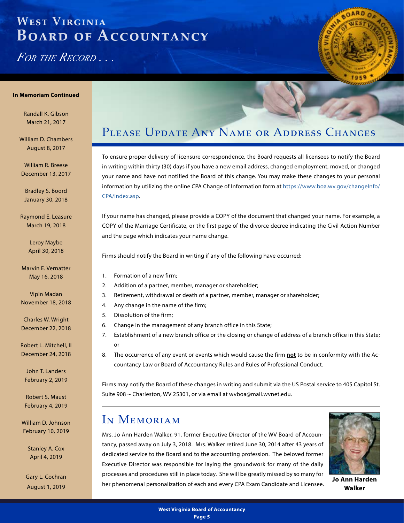<span id="page-4-0"></span>*For the Record . . .*



#### **In Memoriam Continued**

Randall K. Gibson March 21, 2017

William D. Chambers August 8, 2017

William R. Breese December 13, 2017

Bradley S. Boord January 30, 2018

Raymond E. Leasure March 19, 2018

> Leroy Maybe April 30, 2018

Marvin E. Vernatter May 16, 2018

Vipin Madan November 18, 2018

Charles W. Wright December 22, 2018

Robert L. Mitchell, II December 24, 2018

John T. Landers February 2, 2019

Robert S. Maust February 4, 2019

William D. Johnson February 10, 2019

> Stanley A. Cox April 4, 2019

Gary L. Cochran August 1, 2019

### PLEASE UPDATE ANY NAME OR ADDRESS CHANGES

To ensure proper delivery of licensure correspondence, the Board requests all licensees to notify the Board in writing within thirty (30) days if you have a new email address, changed employment, moved, or changed your name and have not notified the Board of this change. You may make these changes to your personal information by utilizing the online CPA Change of Information form at [https://www.boa.wv.gov/changeInfo/](https://www.boa.wv.gov/changeInfo/CPA/index.asp) [CPA/index.asp](https://www.boa.wv.gov/changeInfo/CPA/index.asp).

If your name has changed, please provide a COPY of the document that changed your name. For example, a COPY of the Marriage Certificate, or the first page of the divorce decree indicating the Civil Action Number and the page which indicates your name change.

Firms should notify the Board in writing if any of the following have occurred:

- 1. Formation of a new firm;
- 2. Addition of a partner, member, manager or shareholder;
- 3. Retirement, withdrawal or death of a partner, member, manager or shareholder;
- 4. Any change in the name of the firm;
- 5. Dissolution of the firm;
- 6. Change in the management of any branch office in this State;
- 7. Establishment of a new branch office or the closing or change of address of a branch office in this State; or
- 8. The occurrence of any event or events which would cause the firm **not** to be in conformity with the Accountancy Law or Board of Accountancy Rules and Rules of Professional Conduct.

Firms may notify the Board of these changes in writing and submit via the US Postal service to 405 Capitol St. Suite 908 ~ Charleston, WV 25301, or via email at wvboa@mail.wvnet.edu.

### IN MEMORIAM

Mrs. Jo Ann Harden Walker, 91, former Executive Director of the WV Board of Accountancy, passed away on July 3, 2018. Mrs. Walker retired June 30, 2014 after 43 years of dedicated service to the Board and to the accounting profession. The beloved former Executive Director was responsible for laying the groundwork for many of the daily processes and procedures still in place today. She will be greatly missed by so many for her phenomenal personalization of each and every CPA Exam Candidate and Licensee.



**Jo Ann Harden Walker**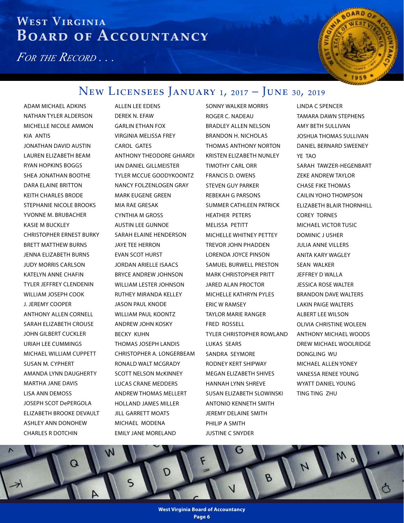<span id="page-5-0"></span>*For the Record . . .*



ADAM MICHAEL ADKINS NATHAN TYLER ALDERSON MICHELLE NICOLE AMMON KIA ANTIS JONATHAN DAVID AUSTIN LAUREN ELIZABETH BEAM RYAN HOPKINS BOGGS SHEA JONATHAN BOOTHE DARA ELAINE BRITTON KEITH CHARLES BRODE STEPHANIE NICOLE BROOKS YVONNE M. BRUBACHER KASIE M BUCKLEY CHRISTOPHER ERNEST BURKY BRETT MATTHEW BURNS JENNA ELIZABETH BURNS JUDY MORRIS CARLSON KATELYN ANNE CHAFIN TYLER JEFFREY CLENDENIN WILLIAM JOSEPH COOK J. JEREMY COOPER ANTHONY ALLEN CORNELL SARAH ELIZABETH CROUSE JOHN GILBERT CUCKLER URIAH LEE CUMMINGS MICHAEL WILLIAM CUPPETT SUSAN M. CYPHERT AMANDA LYNN DAUGHERTY MARTHA JANE DAVIS LISA ANN DEMOSS JOSEPH SCOT DePERGOLA ELIZABETH BROOKE DEVAULT ASHLEY ANN DONOHEW CHARLES R DOTCHIN

ALLEN LEE EDENS DEREK N. EFAW GARLIN ETHAN FOX VIRGINIA MELISSA FREY CAROL GATES ANTHONY THEODORE GHIARDI IAN DANIEL GILLMEISTER TYLER MCCUE GOODYKOONTZ NANCY FOLZENLOGEN GRAY MARK EUGENE GREEN MIA RAE GRESAK CYNTHIA M GROSS AUSTIN LEE GUNNOE SARAH ELAINE HENDERSON JAYE TEE HERRON EVAN SCOT HURST JORDAN ARIELLE ISAACS BRYCE ANDREW JOHNSON WILLIAM LESTER JOHNSON RUTHEY MIRANDA KELLEY JASON PAUL KNODE WILLIAM PAUL KOONTZ ANDREW JOHN KOSKY BECKY KUHN THOMAS JOSEPH LANDIS CHRISTOPHER A. LONGERBEAM RONALD WALT MCGRADY SCOTT NELSON McKINNEY LUCAS CRANE MEDDERS ANDREW THOMAS MELLERT HOLLAND JAMES MILLER JILL GARRETT MOATS MICHAEL MODENA EMILY JANE MORELAND

SONNY WALKER MORRIS ROGER C. NADEAU BRADLEY ALLEN NELSON BRANDON H. NICHOLAS THOMAS ANTHONY NORTON KRISTEN ELIZABETH NUNLEY TIMOTHY CARL ORR FRANCIS D. OWENS STEVEN GUY PARKER REBEKAH G PARSONS SUMMER CATHLEEN PATRICK HEATHER PETERS MELISSA PETITT MICHELLE WHITNEY PETTEY TREVOR JOHN PHADDEN LORENDA JOYCE PINSON SAMUEL BURWELL PRESTON MARK CHRISTOPHER PRITT JARED ALAN PROCTOR MICHELLE KATHRYN PYLES ERIC W RAMSEY TAYLOR MARIE RANGER FRED ROSSELL TYLER CHRISTOPHER ROWLAND LUKAS SEARS SANDRA SEYMORE RODNEY KERT SHIPWAY MEGAN ELIZABETH SHIVES HANNAH LYNN SHREVE SUSAN ELIZABETH SLOWINSKI ANTONIO KENNETH SMITH JEREMY DELAINE SMITH PHILIP A SMITH JUSTINE C SNYDER

LINDA C SPENCER TAMARA DAWN STEPHENS AMY BETH SULLIVAN JOSHUA THOMAS SULLIVAN DANIEL BERNARD SWEENEY YF TAO SARAH TAWZER-HEGENBART ZEKE ANDREW TAYLOR CHASE FIKE THOMAS CAILIN YOHO THOMPSON ELIZABETH BLAIR THORNHILL COREY TORNES MICHAEL VICTOR TUSIC DOMINIC J USHER JULIA ANNE VILLERS ANITA KARY WAGLEY SEAN WALKER JEFFREY D WALLA JESSICA ROSE WALTER BRANDON DAVE WALTERS LAKIN PAIGE WALTERS ALBERT LEE WILSON OLIVIA CHRISTINE WOLEEN ANTHONY MICHAEL WOODS DREW MICHAEL WOOLRIDGE DONGLING WU MICHAEL ALLEN YONEY VANESSA RENEE YOUNG WYATT DANIEL YOUNG TING TING ZHU